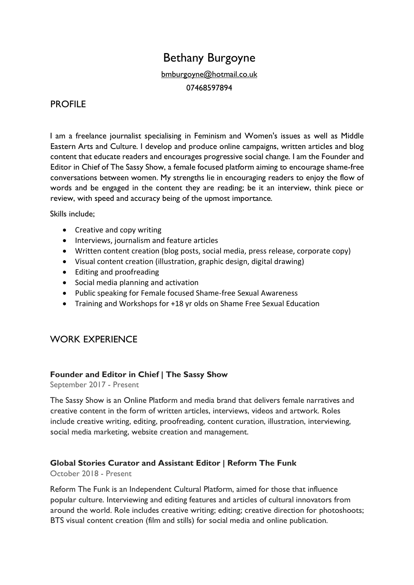# Bethany Burgoyne

[bmburgoyne@hotmail.co.uk](mailto:bmburgoyne@hotmail.co.uk) 07468597894

## PROFILE

I am a freelance journalist specialising in Feminism and Women's issues as well as Middle Eastern Arts and Culture. I develop and produce online campaigns, written articles and blog content that educate readers and encourages progressive social change. I am the Founder and Editor in Chief of The Sassy Show, a female focused platform aiming to encourage shame-free conversations between women. My strengths lie in encouraging readers to enjoy the flow of words and be engaged in the content they are reading; be it an interview, think piece or review, with speed and accuracy being of the upmost importance.

Skills include;

- Creative and copy writing
- Interviews, journalism and feature articles
- Written content creation (blog posts, social media, press release, corporate copy)
- Visual content creation (illustration, graphic design, digital drawing)
- Editing and proofreading
- Social media planning and activation
- Public speaking for Female focused Shame-free Sexual Awareness
- Training and Workshops for +18 yr olds on Shame Free Sexual Education

## WORK EXPERIENCE

#### **Founder and Editor in Chief | The Sassy Show**

September 2017 - Present

The Sassy Show is an Online Platform and media brand that delivers female narratives and creative content in the form of written articles, interviews, videos and artwork. Roles include creative writing, editing, proofreading, content curation, illustration, interviewing, social media marketing, website creation and management.

#### **Global Stories Curator and Assistant Editor | Reform The Funk**

October 2018 - Present

Reform The Funk is an Independent Cultural Platform, aimed for those that influence popular culture. Interviewing and editing features and articles of cultural innovators from around the world. Role includes creative writing; editing; creative direction for photoshoots; BTS visual content creation (film and stills) for social media and online publication.